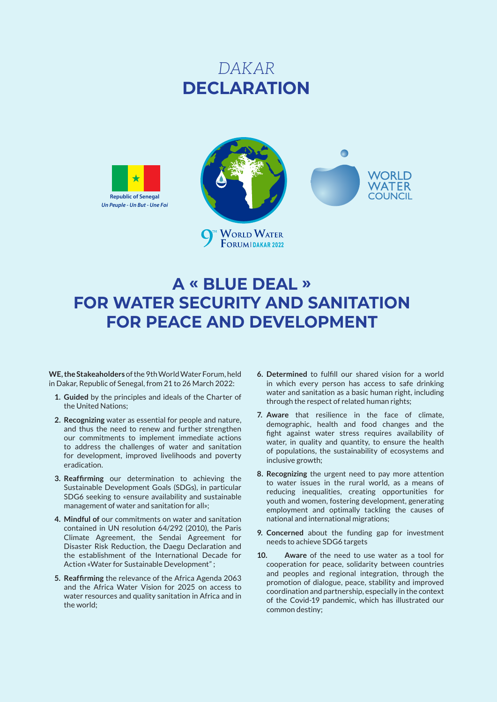# *DAKAR*  **DECLARATION**





# **A « BLUE DEAL » FOR WATER SECURITY AND SANITATION FOR PEACE AND DEVELOPMENT**

**WE, the Stakeaholders** of the 9th World Water Forum, held in Dakar, Republic of Senegal, from 21 to 26 March 2022:

- **1. Guided** by the principles and ideals of the Charter of the United Nations;
- **2. Recognizing** water as essential for people and nature, and thus the need to renew and further strengthen our commitments to implement immediate actions to address the challenges of water and sanitation for development, improved livelihoods and poverty eradication.
- **3. Reaffirming** our determination to achieving the Sustainable Development Goals (SDGs), in particular SDG6 seeking to «ensure availability and sustainable management of water and sanitation for all»;
- **4. Mindful of** our commitments on water and sanitation contained in UN resolution 64/292 (2010), the Paris Climate Agreement, the Sendai Agreement for Disaster Risk Reduction, the Daegu Declaration and the establishment of the International Decade for Action «Water for Sustainable Development" ;
- **5. Reaffirming** the relevance of the Africa Agenda 2063 and the Africa Water Vision for 2025 on access to water resources and quality sanitation in Africa and in the world;
- **6. Determined** to fulfill our shared vision for a world in which every person has access to safe drinking water and sanitation as a basic human right, including through the respect of related human rights;
- **7. Aware** that resilience in the face of climate, demographic, health and food changes and the fight against water stress requires availability of water, in quality and quantity, to ensure the health of populations, the sustainability of ecosystems and inclusive growth;
- **8. Recognizing** the urgent need to pay more attention to water issues in the rural world, as a means of reducing inequalities, creating opportunities for youth and women, fostering development, generating employment and optimally tackling the causes of national and international migrations;
- **9. Concerned** about the funding gap for investment needs to achieve SDG6 targets
- **10. Aware** of the need to use water as a tool for cooperation for peace, solidarity between countries and peoples and regional integration, through the promotion of dialogue, peace, stability and improved coordination and partnership, especially in the context of the Covid-19 pandemic, which has illustrated our common destiny;